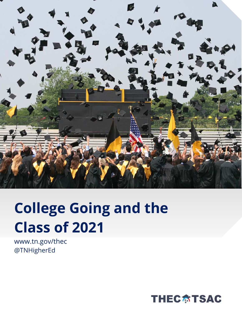

## **College Going and the Class of 2021**

www.tn.gov/thec @TNHigherEd

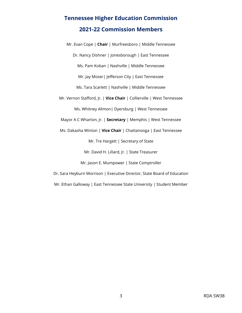## **Tennessee Higher Education Commission 2021-22 Commission Members**

Mr. Evan Cope | **Chair** | Murfreesboro | Middle Tennessee Dr. Nancy Dishner | Jonesborough | East Tennessee Ms. Pam Koban | Nashville | Middle Tennessee Mr. Jay Moser| Jefferson City | East Tennessee Ms. Tara Scarlett | Nashville | Middle Tennessee Mr. Vernon Stafford, Jr. | **Vice Chair** | Collierville | West Tennessee Ms. Whitney Allmon| Dyersburg | West Tennessee Mayor A C Wharton, Jr. | **Secretary** | Memphis | West Tennessee Ms. Dakasha Winton | **Vice Chair** | Chattanooga | East Tennessee Mr. Tre Hargett | Secretary of State Mr. David H. Lillard, Jr. | State Treasurer Mr. Jason E. Mumpower | State Comptroller Dr. Sara Heyburn Morrison | Executive Director, State Board of Education Mr. Ethan Galloway | East Tennessee State University | Student Member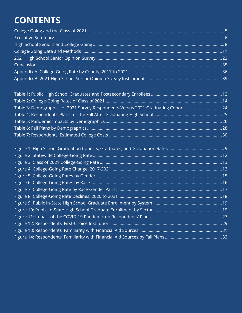## **CONTENTS**

| Table 3: Demographics of 2021 Survey Respondents Versus 2021 Graduating Cohort24 |  |
|----------------------------------------------------------------------------------|--|
|                                                                                  |  |
|                                                                                  |  |
|                                                                                  |  |
|                                                                                  |  |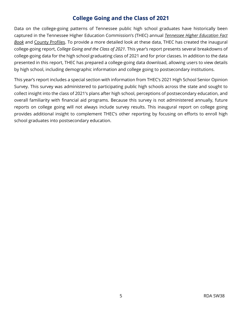#### **College Going and the Class of 2021**

<span id="page-4-0"></span>Data on the college-going patterns of Tennessee public high school graduates have historically been captured in the Tennessee Higher Education Commission's (THEC) annual *[Tennessee Higher Education Fact](https://www.tn.gov/content/tn/thec/research/fact-book.html)  [Book](https://www.tn.gov/content/tn/thec/research/fact-book.html)* and [County Profiles.](https://www.tn.gov/content/tn/thec/bureaus/policy--planning--and-research/county-profiles.html) To provide a more detailed look at these data, THEC has created the inaugural college-going report, *College Going and the Class of 2021*. This year's report presents several breakdowns of college-going data for the high school graduating class of 2021 and for prior classes. In addition to the data presented in this report, THEC has prepared a college-going data download, allowing users to view details by high school, including demographic information and college going to postsecondary institutions.

This year's report includes a special section with information from THEC's 2021 High School Senior Opinion Survey. This survey was administered to participating public high schools across the state and sought to collect insight into the class of 2021's plans after high school, perceptions of postsecondary education, and overall familiarity with financial aid programs. Because this survey is not administered annually, future reports on college going will not always include survey results. This inaugural report on college going provides additional insight to complement THEC's other reporting by focusing on efforts to enroll high school graduates into postsecondary education.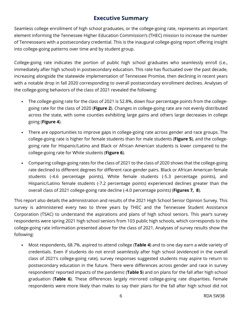#### **Executive Summary**

<span id="page-5-0"></span>Seamless college enrollment of high school graduates, or the college-going rate, represents an important element informing the Tennessee Higher Education Commission's (THEC) mission to increase the number of Tennesseans with a postsecondary credential. This is the inaugural college-going report offering insight into college-going patterns over time and by student group.

College-going rate indicates the portion of public high school graduates who seamlessly enroll (i.e., immediately after high school) in postsecondary education. This rate has fluctuated over the past decade, increasing alongside the statewide implementation of Tennessee Promise, then declining in recent years with a notable drop in fall 2020 corresponding to overall postsecondary enrollment declines. Analyses of the college-going behaviors of the class of 2021 revealed the following:

- The college-going rate for the class of 2021 is 52.8%, down four percentage points from the collegegoing rate for the class of 2020 (**[Figure 2](#page-11-1)**). Changes in college-going rate are not evenly distributed across the state, with some counties exhibiting large gains and others large decreases in college going (**[Figure 4](#page-12-1)**).
- There are opportunities to improve gaps in college-going rate across gender and race groups. The college-going rate is higher for female students than for male students (**[Figure 5](#page-14-0)**), and the collegegoing rate for Hispanic/Latino and Black or African American students is lower compared to the college-going rate for White students (**[Figure 6](#page-15-0)**).
- Comparing college-going rates for the class of 2021 to the class of 2020 shows that the college-going rate declined to different degrees for different race-gender pairs. Black or African American female students (-4.6 percentage points), White female students (-5.3 percentage points), and Hispanic/Latino female students (-7.2 percentage points) experienced declines greater than the overall class of 2021 college-going rate decline (-4.0 percentage points) (**[Figures 7,](#page-16-0) [8](#page-17-0)**).

This report also details the administration and results of the 2021 High School Senior Opinion Survey. This survey is administered every two to three years by THEC and the Tennessee Student Assistance Corporation (TSAC) to understand the aspirations and plans of high school seniors. This year's survey respondents were spring 2021 high school seniors from 103 public high schools, which corresponds to the college-going rate information presented above for the class of 2021. Analyses of survey results show the following:

• Most respondents, 68.7%, aspired to attend college (**[Table 4](#page-24-0)**) and to one day earn a wide variety of credentials. Even if students do not enroll seamlessly after high school (evidenced in the overall class of 2021's college-going rate), survey responses suggested students may aspire to return to postsecondary education in the future. There were differences across gender and race in survey respondents' reported impacts of the pandemic (**[Table 5](#page-25-0)**) and on plans for the fall after high school graduation (**[Table 6](#page-27-0)**). These differences largely mirrored college-going rate disparities. Female respondents were more likely than males to say their plans for the fall after high school did not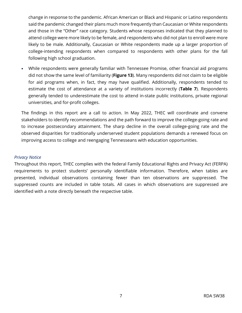change in response to the pandemic. African American or Black and Hispanic or Latino respondents said the pandemic changed their plans much more frequently than Caucasian or White respondents and those in the "Other" race category. Students whose responses indicated that they planned to attend college were more likely to be female, and respondents who did not plan to enroll were more likely to be male. Additionally, Caucasian or White respondents made up a larger proportion of college-intending respondents when compared to respondents with other plans for the fall following high school graduation.

• While respondents were generally familiar with Tennessee Promise, other financial aid programs did not show the same level of familiarity (**[Figure 13](#page-30-0)**). Many respondents did not claim to be eligible for aid programs when, in fact, they may have qualified. Additionally, respondents tended to estimate the cost of attendance at a variety of institutions incorrectly (**[Table 7](#page-29-0)**). Respondents generally tended to underestimate the cost to attend in-state public institutions, private regional universities, and for-profit colleges.

The findings in this report are a call to action. In May 2022, THEC will coordinate and convene stakeholders to identify recommendations and the path forward to improve the college-going rate and to increase postsecondary attainment. The sharp decline in the overall college-going rate and the observed disparities for traditionally underserved student populations demands a renewed focus on improving access to college and reengaging Tennesseans with education opportunities.

#### *Privacy Notice*

Throughout this report, THEC complies with the federal Family Educational Rights and Privacy Act (FERPA) requirements to protect students' personally identifiable information. Therefore, when tables are presented, individual observations containing fewer than ten observations are suppressed. The suppressed counts are included in table totals. All cases in which observations are suppressed are identified with a note directly beneath the respective table.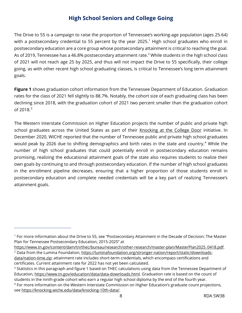#### **High School Seniors and College Going**

<span id="page-7-0"></span>The Drive to 55 is a campaign to raise the proportion of Tennessee's working-age population (ages 25-64) with a postsecondary credential to 55 percent by the year 2025.<sup>[1](#page-7-1)</sup> High school graduates who enroll in postsecondary education are a core group whose postsecondary attainment is critical to reaching the goal. As of [2](#page-7-2)019, Tennessee has a 46.8% postsecondary attainment rate.<sup>2</sup> While students in the high school class of 2021 will not reach age 25 by 2025, and thus will not impact the Drive to 55 specifically, their college going, as with other recent high school graduating classes, is critical to Tennessee's long term attainment goals.

**[Figure 1](#page-8-0)** shows graduation cohort information from the Tennessee Department of Education. Graduation rates for the class of 2021 fell slightly to 88.7%. Notably, the cohort size of each graduating class has been declining since 2018, with the graduation cohort of 2021 two percent smaller than the graduation cohort  $of 2018.<sup>3</sup>$  $of 2018.<sup>3</sup>$  $of 2018.<sup>3</sup>$ 

The Western Interstate Commission on Higher Education projects the number of public and private high school graduates across the United States as part of their [Knocking at the College Door](https://knocking.wiche.edu/about/) initiative. In December 2020, WICHE reported that the number of Tennessee public and private high school graduates would peak by 2026 due to shifting demographics and birth rates in the state and country.<sup>[4](#page-7-4)</sup> While the number of high school graduates that could potentially enroll in postsecondary education remains promising, realizing the educational attainment goals of the state also requires students to realize their own goals by continuing to and through postsecondary education. If the number of high school graduates in the enrollment pipeline decreases, ensuring that a higher proportion of those students enroll in postsecondary education and complete needed credentials will be a key part of realizing Tennessee's attainment goals.

<span id="page-7-1"></span><sup>1</sup> For more information about the Drive to 55, see "Postsecondary Attainment in the Decade of Decision: The Master Plan for Tennessee Postsecondary Education, 2015-2025" at

<span id="page-7-2"></span>[https://www.tn.gov/content/dam/tn/thec/bureau/research/other-research/master-plan/MasterPlan2025\\_0418.pdf.](https://www.tn.gov/content/dam/tn/thec/bureau/research/other-research/master-plan/MasterPlan2025_0418.pdf) <sup>2</sup> Data from the Lumina Foundation, [https://luminafoundation.org/stronger-nation/report/static/downloads](https://luminafoundation.org/stronger-nation/report/static/downloads-data/nation-time.zip)[data/nation-time.zip;](https://luminafoundation.org/stronger-nation/report/static/downloads-data/nation-time.zip) attainment rate includes short-term credentials, which encompass certifications and certificates. Current attainment rate for 2022 has not yet been calculated.

<span id="page-7-4"></span><span id="page-7-3"></span><sup>&</sup>lt;sup>3</sup> Statistics in this paragraph and figure 1 based on THEC calculations using data from the Tennessee Department of Education, [https://www.tn.gov/education/data/data-downloads.html.](https://www.tn.gov/education/data/data-downloads.html) Graduation rate is based on the count of students in the ninth-grade cohort who earn a regular high school diploma by the end of the fourth year. <sup>4</sup> For more information on the Western Interstate Commission on Higher Education's graduate count projections, se[e https://knocking.wiche.edu/data/knocking-10th-data/.](https://knocking.wiche.edu/data/knocking-10th-data/)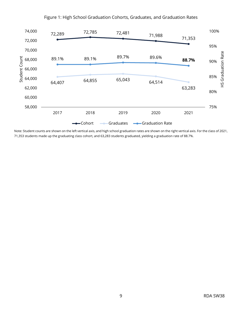<span id="page-8-0"></span>

#### Figure 1: High School Graduation Cohorts, Graduates, and Graduation Rates

Note: Student counts are shown on the left vertical axis, and high school graduation rates are shown on the right vertical axis. For the class of 2021, 71,353 students made up the graduating class cohort, and 63,283 students graduated, yielding a graduation rate of 88.7%.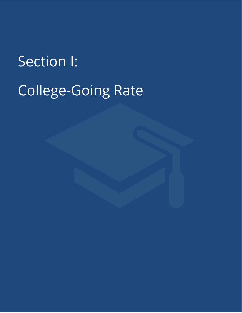Section I: College-Going Rate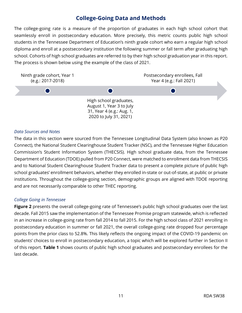#### **College-Going Data and Methods**

<span id="page-10-0"></span>The college-going rate is a measure of the proportion of graduates in each high school cohort that seamlessly enroll in postsecondary education. More precisely, this metric counts public high school students in the Tennessee Department of Education's ninth grade cohort who earn a regular high school diploma and enroll at a postsecondary institution the following summer or fall term after graduating high school. Cohorts of high school graduates are referred to by their high school graduation year in this report. The process is shown below using the example of the class of 2021.



#### *Data Sources and Notes*

The data in this section were sourced from the Tennessee Longitudinal Data System (also known as P20 Connect), the National Student Clearinghouse Student Tracker (NSC), and the Tennessee Higher Education Commission's Student Information System (THECSIS). High school graduate data, from the Tennessee Department of Education (TDOE) pulled from P20 Connect, were matched to enrollment data from THECSIS and to National Student Clearinghouse Student Tracker data to present a complete picture of public high school graduates' enrollment behaviors, whether they enrolled in-state or out-of-state, at public or private institutions. Throughout the college-going section, demographic groups are aligned with TDOE reporting and are not necessarily comparable to other THEC reporting.

#### *College Going in Tennessee*

**[Figure 2](#page-11-1)** presents the overall college-going rate of Tennessee's public high school graduates over the last decade. Fall 2015 saw the implementation of the Tennessee Promise program statewide, which is reflected in an increase in college-going rate from fall 2014 to fall 2015. For the high school class of 2021 enrolling in postsecondary education in summer or fall 2021, the overall college-going rate dropped four percentage points from the prior class to 52.8%. This likely reflects the ongoing impact of the COVID-19 pandemic on students' choices to enroll in postsecondary education, a topic which will be explored further in Section II of this report. **[Table 1](#page-11-0)** shows counts of public high school graduates and postsecondary enrollees for the last decade.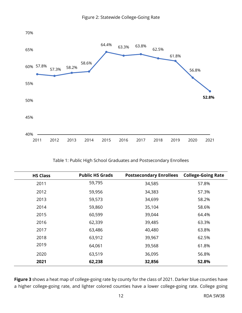<span id="page-11-1"></span>

Table 1: Public High School Graduates and Postsecondary Enrollees

<span id="page-11-0"></span>

| <b>HS Class</b> | <b>Public HS Grads</b> | <b>Postsecondary Enrollees</b> | <b>College-Going Rate</b> |
|-----------------|------------------------|--------------------------------|---------------------------|
| 2011            | 59,795                 | 34,585                         | 57.8%                     |
| 2012            | 59,956                 | 34,383                         | 57.3%                     |
| 2013            | 59,573                 | 34,699                         | 58.2%                     |
| 2014            | 59,860                 | 35,104                         | 58.6%                     |
| 2015            | 60,599                 | 39,044                         | 64.4%                     |
| 2016            | 62,339                 | 39,485                         | 63.3%                     |
| 2017            | 63,486                 | 40,480                         | 63.8%                     |
| 2018            | 63,912                 | 39,967                         | 62.5%                     |
| 2019            | 64,061                 | 39,568                         | 61.8%                     |
| 2020            | 63,519                 | 36,095                         | 56.8%                     |
| 2021            | 62,238                 | 32,856                         | 52.8%                     |

**[Figure 3](#page-12-0)** shows a heat map of college-going rate by county for the class of 2021. Darker blue counties have a higher college-going rate, and lighter colored counties have a lower college-going rate. College going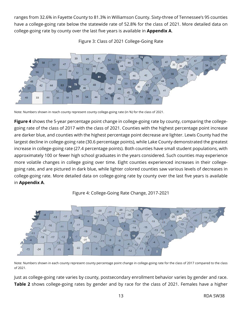ranges from 32.6% in Fayette County to 81.3% in Williamson County. Sixty-three of Tennessee's 95 counties have a college-going rate below the statewide rate of 52.8% for the class of 2021. More detailed data on college-going rate by county over the last five years is available in **[Appendix A](#page-35-0)**.

<span id="page-12-0"></span>

Figure 3: Class of 2021 College-Going Rate

Note: Numbers shown in reach county represent county college-going rate (in %) for the class of 2021.

**[Figure 4](#page-12-1)** shows the 5-year percentage point change in college-going rate by county, comparing the collegegoing rate of the class of 2017 with the class of 2021. Counties with the highest percentage point increase are darker blue, and counties with the highest percentage point decrease are lighter. Lewis County had the largest decline in college-going rate (30.6 percentage points), while Lake County demonstrated the greatest increase in college-going rate (27.4 percentage points). Both counties have small student populations, with approximately 100 or fewer high school graduates in the years considered. Such counties may experience more volatile changes in college going over time. Eight counties experienced increases in their collegegoing rate, and are pictured in dark blue, while lighter colored counties saw various levels of decreases in college-going rate. More detailed data on college-going rate by county over the last five years is available in **[Appendix A](#page-35-0)**.



<span id="page-12-1"></span>

Note: Numbers shown in each county represent county percentage point change in college-going rate for the class of 2017 compared to the class of 2021.

Just as college-going rate varies by county, postsecondary enrollment behavior varies by gender and race. **[Table 2](#page-13-0)** shows college-going rates by gender and by race for the class of 2021. Females have a higher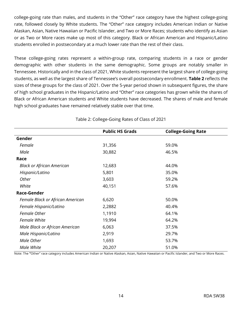college-going rate than males, and students in the "Other" race category have the highest college-going rate, followed closely by White students. The "Other" race category includes American Indian or Native Alaskan, Asian, Native Hawaiian or Pacific Islander, and Two or More Races; students who identify as Asian or as Two or More races make up most of this category. Black or African American and Hispanic/Latino students enrolled in postsecondary at a much lower rate than the rest of their class.

These college-going rates represent a within-group rate, comparing students in a race or gender demographic with other students in the same demographic. Some groups are notably smaller in Tennessee. Historically and in the class of 2021, White students represent the largest share of college-going students, as well as the largest share of Tennessee's overall postsecondary enrollment. **[Table 2](#page-13-0)** reflects the sizes of these groups for the class of 2021. Over the 5-year period shown in subsequent figures, the share of high school graduates in the Hispanic/Latino and "Other" race categories has grown while the shares of Black or African American students and White students have decreased. The shares of male and female high school graduates have remained relatively stable over that time.

<span id="page-13-0"></span>

|                                  | <b>Public HS Grads</b> | <b>College-Going Rate</b> |
|----------------------------------|------------------------|---------------------------|
| Gender                           |                        |                           |
| Female                           | 31,356                 | 59.0%                     |
| Male                             | 30,882                 | 46.5%                     |
| Race                             |                        |                           |
| <b>Black or African American</b> | 12,683                 | 44.0%                     |
| Hispanic/Latino                  | 5,801                  | 35.0%                     |
| Other                            | 3,603                  | 59.2%                     |
| White                            | 40,151                 | 57.6%                     |
| Race-Gender                      |                        |                           |
| Female Black or African American | 6,620                  | 50.0%                     |
| Female Hispanic/Latino           | 2,2882                 | 40.4%                     |
| Female Other                     | 1,1910                 | 64.1%                     |
| <b>Female White</b>              | 19,994                 | 64.2%                     |
| Male Black or African American   | 6,063                  | 37.5%                     |
| Male Hispanic/Latino             | 2,919                  | 29.7%                     |
| Male Other                       | 1,693                  | 53.7%                     |
| Male White                       | 20,207                 | 51.0%                     |

Table 2: College-Going Rates of Class of 2021

Note: The **"**Other" race category includes American Indian or Native Alaskan, Asian, Native Hawaiian or Pacific Islander, and Two or More Races.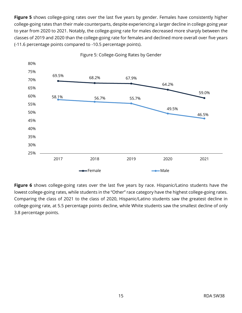[Figure 5](#page-14-0) shows college-going rates over the last five years by gender. Females have consistently higher college-going rates than their male counterparts, despite experiencing a larger decline in college going year to year from 2020 to 2021. Notably, the college-going rate for males decreased more sharply between the classes of 2019 and 2020 than the college-going rate for females and declined more overall over five years (-11.6 percentage points compared to -10.5 percentage points).

<span id="page-14-0"></span>

Figure 5: College-Going Rates by Gender

**[Figure 6](#page-15-0)** shows college-going rates over the last five years by race. Hispanic/Latino students have the lowest college-going rates, while students in the "Other" race category have the highest college-going rates. Comparing the class of 2021 to the class of 2020, Hispanic/Latino students saw the greatest decline in college-going rate, at 5.5 percentage points decline, while White students saw the smallest decline of only 3.8 percentage points.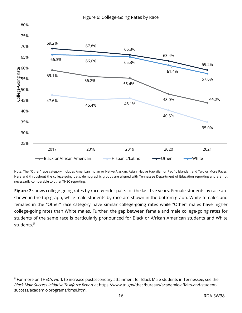<span id="page-15-0"></span>

Note: The **"**Other" race category includes American Indian or Native Alaskan, Asian, Native Hawaiian or Pacific Islander, and Two or More Races. Here and throughout the college-going data, demographic groups are aligned with Tennessee Department of Education reporting and are not necessarily comparable to other THEC reporting.

**[Figure 7](#page-16-0)** shows college-going rates by race-gender pairs for the last five years. Female students by race are shown in the top graph, while male students by race are shown in the bottom graph. White females and females in the "Other" race category have similar college-going rates while "Other" males have higher college-going rates than White males. Further, the gap between female and male college-going rates for students of the same race is particularly pronounced for Black or African American students and White students.<sup>[5](#page-15-1)</sup>

<span id="page-15-1"></span><sup>5</sup> For more on THEC's work to increase postsecondary attainment for Black Male students in Tennessee, see the *Black Male Success Initiative Taskforce Report* at [https://www.tn.gov/thec/bureaus/academic-affairs-and-student](https://www.tn.gov/thec/bureaus/academic-affairs-and-student-success/academic-programs/bmsi.html)[success/academic-programs/bmsi.html.](https://www.tn.gov/thec/bureaus/academic-affairs-and-student-success/academic-programs/bmsi.html)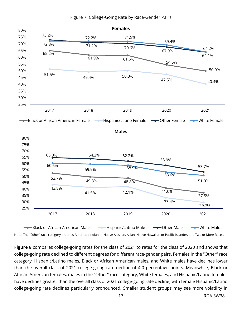<span id="page-16-0"></span>

#### Figure 7: College-Going Rate by Race-Gender Pairs

Note: The "Other" race category includes American Indian or Native Alaskan, Asian, Native Hawaiian or Pacific Islander, and Two or More Races.

**[Figure 8](#page-17-0)** compares college-going rates for the class of 2021 to rates for the class of 2020 and shows that college-going rate declined to different degrees for different race-gender pairs. Females in the "Other" race category, Hispanic/Latino males, Black or African American males, and White males have declines lower than the overall class of 2021 college-going rate decline of 4.0 percentage points. Meanwhile, Black or African American females, males in the "Other" race category, White females, and Hispanic/Latino females have declines greater than the overall class of 2021 college-going rate decline, with female Hispanic/Latino college-going rate declines particularly pronounced. Smaller student groups may see more volatility in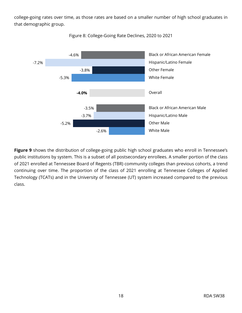college-going rates over time, as those rates are based on a smaller number of high school graduates in that demographic group.

<span id="page-17-0"></span>

Figure 8: College-Going Rate Declines, 2020 to 2021

[Figure 9](#page-18-0) shows the distribution of college-going public high school graduates who enroll in Tennessee's public institutions by system. This is a subset of all postsecondary enrollees. A smaller portion of the class of 2021 enrolled at Tennessee Board of Regents (TBR) community colleges than previous cohorts, a trend continuing over time. The proportion of the class of 2021 enrolling at Tennessee Colleges of Applied Technology (TCATs) and in the University of Tennessee (UT) system increased compared to the previous class.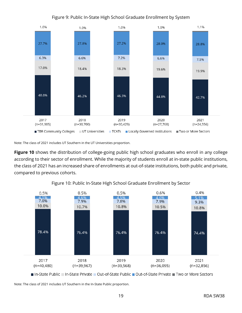<span id="page-18-0"></span>

#### Figure 9: Public In-State High School Graduate Enrollment by System

Note: The class of 2021 includes UT Southern in the UT Universities proportion.

**[Figure 10](#page-18-1)** shows the distribution of college-going public high school graduates who enroll in any college according to their sector of enrollment. While the majority of students enroll at in-state public institutions, the class of 2021 has an increased share of enrollments at out-of-state institutions, both public and private, compared to previous cohorts.

<span id="page-18-1"></span>

Figure 10: Public In-State High School Graduate Enrollment by Sector

■ In-State Public | In-State Private | Out-of-State Public | Out-of-State Private | Two or More Sectors

Note: The class of 2021 includes UT Southern in the In-State Public proportion.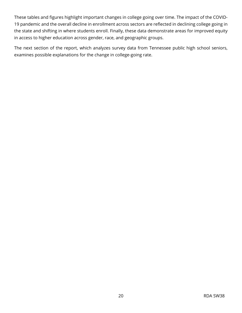These tables and figures highlight important changes in college going over time. The impact of the COVID-19 pandemic and the overall decline in enrollment across sectors are reflected in declining college going in the state and shifting in where students enroll. Finally, these data demonstrate areas for improved equity in access to higher education across gender, race, and geographic groups.

The next section of the report, which analyzes survey data from Tennessee public high school seniors, examines possible explanations for the change in college-going rate.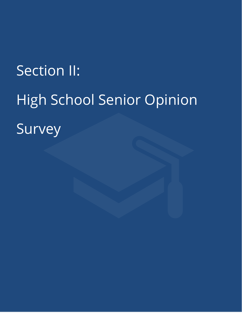# Section II: High School Senior Opinion Survey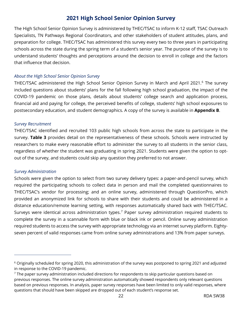#### **2021 High School Senior Opinion Survey**

<span id="page-21-0"></span>The High School Senior Opinion Survey is administered by THEC/TSAC to inform K-12 staff, TSAC Outreach Specialists, TN Pathways Regional Coordinators, and other stakeholders of student attitudes, plans, and preparation for college. THEC/TSAC has administered this survey every two to three years in participating schools across the state during the spring term of a student's senior year. The purpose of the survey is to understand students' thoughts and perceptions around the decision to enroll in college and the factors that influence that decision.

#### *About the High School Senior Opinion Survey*

THEC/TSAC administered the High School Senior Opinion Survey in March and April 2021.<sup>[6](#page-21-1)</sup> The survey included questions about students' plans for the fall following high school graduation, the impact of the COVID-19 pandemic on those plans, details about students' college search and application process, financial aid and paying for college, the perceived benefits of college, students' high school exposures to postsecondary education, and student demographics. A copy of the survey is available in **[Appendix B](#page-38-0)**.

#### *Survey Recruitment*

THEC/TSAC identified and recruited 103 public high schools from across the state to participate in the survey. **[Table 3](#page-23-0)** provides detail on the representativeness of these schools. Schools were instructed by researchers to make every reasonable effort to administer the survey to all students in the senior class, regardless of whether the student was graduating in spring 2021. Students were given the option to optout of the survey, and students could skip any question they preferred to not answer.

#### *Survey Administration*

Schools were given the option to select from two survey delivery types: a paper-and-pencil survey, which required the participating schools to collect data in person and mail the completed questionnaires to THEC/TSAC's vendor for processing; and an online survey, administered through QuestionPro, which provided an anonymized link for schools to share with their students and could be administered in a distance education/remote learning setting, with responses automatically shared back with THEC/TSAC. Surveys were identical across administration types.<sup>[7](#page-21-2)</sup> Paper survey administration required students to complete the survey in a scannable form with blue or black ink or pencil. Online survey administration required students to access the survey with appropriate technology via an internet survey platform. Eightyseven percent of valid responses came from online survey administrations and 13% from paper surveys.

<span id="page-21-1"></span> $6$  Originally scheduled for spring 2020, this administration of the survey was postponed to spring 2021 and adjusted in response to the COVID-19 pandemic.

<span id="page-21-2"></span> $7$  The paper survey administration included directions for respondents to skip particular questions based on previous responses. The online survey administration automatically showed respondents only relevant questions based on previous responses. In analysis, paper survey responses have been limited to only valid responses, where questions that should have been skipped are dropped out of each student's response set.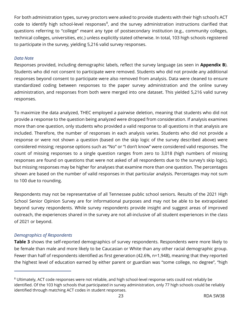For both administration types, survey proctors were asked to provide students with their high school's ACT code to identify high school-level responses $^8$  $^8$ , and the survey administration instructions clarified that questions referring to "college" meant any type of postsecondary institution (e.g., community colleges, technical colleges, universities, etc.) unless explicitly stated otherwise. In total, 103 high schools registered to participate in the survey, yielding 5,216 valid survey responses.

#### *Data Note*

Responses provided, including demographic labels, reflect the survey language (as seen in **[Appendix B](#page-38-0)**). Students who did not consent to participate were removed. Students who did not provide any additional responses beyond consent to participate were also removed from analysis. Data were cleaned to ensure standardized coding between responses to the paper survey administration and the online survey administration, and responses from both were merged into one dataset. This yielded 5,216 valid survey responses.

To maximize the data analyzed, THEC employed a pairwise deletion, meaning that students who did not provide a response to the question being analyzed were dropped from consideration. If analysis examines more than one question, only students who provided a valid response to all questions in that analysis are included. Therefore, the number of responses in each analysis varies. Students who did not provide a response or were not shown a question (based on the skip logic of the survey described above) were considered missing; response options such as "No" or "I don't know" were considered valid responses. The count of missing responses to a single question ranges from zero to 3,018 (high numbers of missing responses are found on questions that were not asked of all respondents due to the survey's skip logic), but missing responses may be higher for analyses that examine more than one question. The percentages shown are based on the number of valid responses in that particular analysis. Percentages may not sum to 100 due to rounding.

Respondents may not be representative of all Tennessee public school seniors. Results of the 2021 High School Senior Opinion Survey are for informational purposes and may not be able to be extrapolated beyond survey respondents. While survey respondents provide insight and suggest areas of improved outreach, the experiences shared in the survey are not all-inclusive of all student experiences in the class of 2021 or beyond.

#### *Demographics of Respondents*

**[Table 3](#page-23-0)** shows the self-reported demographics of survey respondents. Respondents were more likely to be female than male and more likely to be Caucasian or White than any other racial demographic group. Fewer than half of respondents identified as first generation (42.6%, n=1,948), meaning that they reported the highest level of education earned by either parent or guardian was "some college, no degree", "high

<span id="page-22-0"></span><sup>8</sup> Ultimately, ACT code responses were not reliable, and high school-level response sets could not reliably be identified. Of the 103 high schools that participated in survey administration, only 77 high schools could be reliably identified through matching ACT codes in student responses.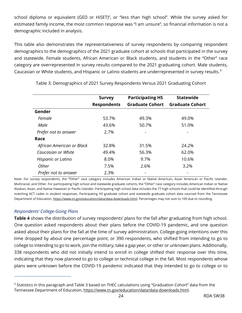school diploma or equivalent (GED or HiSET)", or "less than high school". While the survey asked for estimated family income, the most common response was "I am unsure", so financial information is not a demographic included in analysis.

This table also demonstrates the representativeness of survey respondents by comparing respondent demographics to the demographics of the 2021 graduate cohort at schools that participated in the survey and statewide. Female students, African American or Black students, and students in the "Other" race category are overrepresented in survey results compared to the 2021 graduating cohort. Male students, Caucasian or White students, and Hispanic or Latino students are underrepresented in survey results.<sup>[9](#page-23-1)</sup>

|                           | <b>Survey</b><br><b>Respondents</b> | <b>Participating HS</b><br><b>Graduate Cohort</b> | <b>Statewide</b><br><b>Graduate Cohort</b> |
|---------------------------|-------------------------------------|---------------------------------------------------|--------------------------------------------|
| Gender                    |                                     |                                                   |                                            |
| Female                    | 53.7%                               | 49.3%                                             | 49.0%                                      |
| Male                      | 43.6%                               | 50.7%                                             | 51.0%                                      |
| Prefer not to answer      | 2.7%                                |                                                   |                                            |
| Race                      |                                     |                                                   |                                            |
| African American or Black | 32.8%                               | 31.5%                                             | 24.2%                                      |
| Caucasian or White        | 49.4%                               | 56.3%                                             | 62.0%                                      |
| Hispanic or Latino        | 8.0%                                | 9.7%                                              | 10.6%                                      |
| Other                     | 7.5%                                | 2.6%                                              | 3.2%                                       |
| Prefer not to answer      | 2.3%                                |                                                   |                                            |

<span id="page-23-0"></span>Table 3: Demographics of 2021 Survey Respondents Versus 2021 Graduating Cohort

Note: For survey respondents, the **"**Other" race category includes American Indian or Native American, Asian American or Pacific Islander, Multiracial, and Other. For participating high school and statewide graduate cohorts, the "Other" race category includes American Indian or Native Alaskan, Asian, and Native Hawaiian or Pacific Islander. Participating high school data includes the 77 high schools that could be identified through matching ACT codes in student responses. Participating HS graduate cohort and statewide graduate cohort data sourced from the Tennessee Department of Education[, https://www.tn.gov/education/data/data-downloads.html.](https://www.tn.gov/education/data/data-downloads.html) Percentages may not sum to 100 due to rounding.

#### *Respondents' College-Going Plans*

**[Table 4](#page-24-0)** shows the distribution of survey respondents' plans for the fall after graduating from high school. One question asked respondents about their plans before the COVID-19 pandemic, and one question asked about their plans for the fall at the time of survey administration. College-going intentions over this time dropped by about one percentage point, or 390 respondents, who shifted from intending to go to college to intending to go to work, join the military, take a gap year, or other or unknown plans. Additionally, 338 respondents who did not initially intend to enroll in college shifted their response over this time, indicating that they now planned to go to college or technical college in the fall. Most respondents whose plans were unknown before the COVID-19 pandemic indicated that they intended to go to college or to

<span id="page-23-1"></span><sup>&</sup>lt;sup>9</sup> Statistics in this paragraph and Table 3 based on THEC calculations using "Graduation Cohort" data from the Tennessee Department of Education, [https://www.tn.gov/education/data/data-downloads.html.](https://www.tn.gov/education/data/data-downloads.html)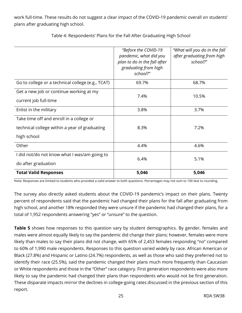work full-time. These results do not suggest a clear impact of the COVID-19 pandemic overall on students' plans after graduating high school.

<span id="page-24-0"></span>

|                                                                                                          | "Before the COVID-19<br>pandemic, what did you<br>plan to do in the fall after<br>graduating from high<br>school?" | "What will you do in the fall<br>after graduating from high<br>school?" |
|----------------------------------------------------------------------------------------------------------|--------------------------------------------------------------------------------------------------------------------|-------------------------------------------------------------------------|
| Go to college or a technical college (e.g., TCAT)                                                        | 69.7%                                                                                                              | 68.7%                                                                   |
| Get a new job or continue working at my<br>current job full-time                                         | 7.4%                                                                                                               | 10.5%                                                                   |
| Enlist in the military                                                                                   | 3.8%                                                                                                               | 3.7%                                                                    |
| Take time off and enroll in a college or<br>technical college within a year of graduating<br>high school | 8.3%                                                                                                               | 7.2%                                                                    |
| Other                                                                                                    | 4.4%                                                                                                               | 4.6%                                                                    |
| I did not/do not know what I was/am going to<br>do after graduation                                      | 6.4%                                                                                                               | 5.1%                                                                    |
| <b>Total Valid Responses</b>                                                                             | 5,046                                                                                                              | 5,046                                                                   |

Table 4: Respondents' Plans for the Fall After Graduating High School

Note: Responses are limited to students who provided a valid answer to both questions. Percentages may not sum to 100 due to rounding.

The survey also directly asked students about the COVID-19 pandemic's impact on their plans. Twenty percent of respondents said that the pandemic had changed their plans for the fall after graduating from high school, and another 18% responded they were unsure if the pandemic had changed their plans, for a total of 1,952 respondents answering "yes" or "unsure" to the question.

**[Table 5](#page-25-0)** shows how responses to this question vary by student demographics. By gender, females and males were almost equally likely to say the pandemic did change their plans; however, females were more likely than males to say their plans did not change, with 65% of 2,453 females responding "no" compared to 60% of 1,990 male respondents. Responses to this question varied widely by race. African American or Black (27.8%) and Hispanic or Latino (24.7%) respondents, as well as those who said they preferred not to identify their race (25.5%), said the pandemic changed their plans much more frequently than Caucasian or White respondents and those in the "Other" race category. First generation respondents were also more likely to say the pandemic had changed their plans than respondents who would not be first generation. These disparate impacts mirror the declines in college-going rates discussed in the previous section of this report.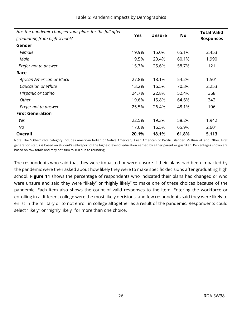<span id="page-25-0"></span>

| Has the pandemic changed your plans for the fall after |            |               |           | <b>Total Valid</b> |
|--------------------------------------------------------|------------|---------------|-----------|--------------------|
| graduating from high school?                           | <b>Yes</b> | <b>Unsure</b> | <b>No</b> | <b>Responses</b>   |
| Gender                                                 |            |               |           |                    |
| Female                                                 | 19.9%      | 15.0%         | 65.1%     | 2,453              |
| Male                                                   | 19.5%      | 20.4%         | 60.1%     | 1,990              |
| Prefer not to answer                                   | 15.7%      | 25.6%         | 58.7%     | 121                |
| Race                                                   |            |               |           |                    |
| African American or Black                              | 27.8%      | 18.1%         | 54.2%     | 1,501              |
| Caucasian or White                                     | 13.2%      | 16.5%         | 70.3%     | 2,253              |
| Hispanic or Latino                                     | 24.7%      | 22.8%         | 52.4%     | 368                |
| Other                                                  | 19.6%      | 15.8%         | 64.6%     | 342                |
| Prefer not to answer                                   | 25.5%      | 26.4%         | 48.1%     | 106                |
| <b>First Generation</b>                                |            |               |           |                    |
| Yes                                                    | 22.5%      | 19.3%         | 58.2%     | 1,942              |
| No                                                     | 17.6%      | 16.5%         | 65.9%     | 2,601              |
| <b>Overall</b>                                         | 20.1%      | 18.1%         | 61.8%     | 5,113              |

Table 5: Pandemic Impacts by Demographics

Note: The **"**Other" race category includes American Indian or Native American, Asian American or Pacific Islander, Multiracial, and Other. First generation status is based on student's self-report of the highest level of education earned by either parent or guardian. Percentages shown are based on row totals and may not sum to 100 due to rounding.

<span id="page-25-1"></span>The respondents who said that they were impacted or were unsure if their plans had been impacted by the pandemic were then asked about how likely they were to make specific decisions after graduating high school. **[Figure 11](#page-25-1)** shows the percentage of respondents who indicated their plans had changed or who were unsure and said they were "likely" or "highly likely" to make one of these choices because of the pandemic. Each item also shows the count of valid responses to the item. Entering the workforce or enrolling in a different college were the most likely decisions, and few respondents said they were likely to enlist in the military or to not enroll in college altogether as a result of the pandemic. Respondents could select "likely" or "highly likely" for more than one choice.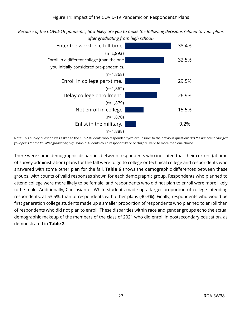*Because of the COVID-19 pandemic, how likely are you to make the following decisions related to your plans after graduating from high school?* 



Note: This survey question was asked to the 1,952 students who responded "yes" or "unsure" to the previous question: *Has the pandemic changed your plans for the fall after graduating high school?* Students could respond "likely" or "highly likely" to more than one choice.

There were some demographic disparities between respondents who indicated that their current (at time of survey administration) plans for the fall were to go to college or technical college and respondents who answered with some other plan for the fall. **[Table 6](#page-27-0)** shows the demographic differences between these groups, with counts of valid responses shown for each demographic group. Respondents who planned to attend college were more likely to be female, and respondents who did not plan to enroll were more likely to be male. Additionally, Caucasian or White students made up a larger proportion of college-intending respondents, at 53.5%, than of respondents with other plans (40.3%). Finally, respondents who would be first generation college students made up a smaller proportion of respondents who planned to enroll than of respondents who did not plan to enroll. These disparities within race and gender groups echo the actual demographic makeup of the members of the class of 2021 who did enroll in postsecondary education, as demonstrated in **[Table 2](#page-13-0)**.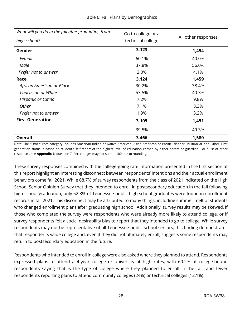|  | Table 6: Fall Plans by Demographics |
|--|-------------------------------------|
|--|-------------------------------------|

<span id="page-27-0"></span>

| What will you do in the fall after graduating from | Go to college or a |                     |
|----------------------------------------------------|--------------------|---------------------|
| high school?                                       | technical college  | All other responses |
| Gender                                             | 3,123              | 1,454               |
| Female                                             | 60.1%              | 40.0%               |
| Male                                               | 37.8%              | 56.0%               |
| Prefer not to answer                               | 2.0%               | 4.1%                |
| Race                                               | 3,124              | 1,459               |
| African American or Black                          | 30.2%              | 38.4%               |
| Caucasian or White                                 | 53.5%              | 40.3%               |
| Hispanic or Latino                                 | 7.2%               | 9.8%                |
| Other                                              | 7.1%               | 8.3%                |
| Prefer not to answer                               | 1.9%               | 3.2%                |
| <b>First Generation</b>                            | 3,105              | 1,451               |
|                                                    | 39.5%              | 49.3%               |
| <b>Overall</b>                                     | 3,466              | 1,580               |

Note: The **"**Other" race category includes American Indian or Native American, Asian American or Pacific Islander, Multiracial, and Other. First generation status is based on student's self-report of the highest level of education earned by either parent or guardian. For a list of other responses, see **[Appendix B](#page-38-0)**, question 7, Percentages may not sum to 100 due to rounding.

These survey responses combined with the college-going rate information presented in the first section of this report highlight an interesting disconnect between respondents' intentions and their actual enrollment behaviors come fall 2021. While 68.7% of survey respondents from the class of 2021 indicated on the High School Senior Opinion Survey that they intended to enroll in postsecondary education in the fall following high school graduation, only 52.8% of Tennessee public high school graduates were found in enrollment records in fall 2021. This disconnect may be attributed to many things, including summer melt of students who changed enrollment plans after graduating high school. Additionally, survey results may be skewed, if those who completed the survey were respondents who were already more likely to attend college, or if survey respondents felt a social desirability bias to report that they intended to go to college. While survey respondents may not be representative of all Tennessee public school seniors, this finding demonstrates that respondents value college and, even if they did not ultimately enroll, suggests some respondents may return to postsecondary education in the future.

Respondents who intended to enroll in college were also asked where they planned to attend. Respondents expressed plans to attend a 4-year college or university at high rates, with 60.2% of college-bound respondents saying that is the type of college where they planned to enroll in the fall, and fewer respondents reporting plans to attend community colleges (24%) or technical colleges (12.1%).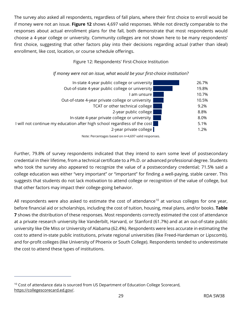The survey also asked all respondents, regardless of fall plans, where their first choice to enroll would be if money were not an issue. **[Figure 12](#page-28-0)** shows 4,697 valid responses. While not directly comparable to the responses about actual enrollment plans for the fall, both demonstrate that most respondents would choose a 4-year college or university. Community colleges are not shown here to be many respondents' first choice, suggesting that other factors play into their decisions regarding actual (rather than ideal) enrollment, like cost, location, or course schedule offerings.

#### Figure 12: Respondents' First-Choice Institution

#### <span id="page-28-0"></span>In-state 4-year public college or university 26.7% Out-of-state 4-year public college or university **19.8%** I am unsure 10.7% Out-of-state 4-year private college or university **10.5%** 10.5% TCAT or other technical college **1988** 10 and 12 and 13 and 13 and 13 and 13 and 13 and 13 and 13 and 13 and 13 and 13 and 13 and 13 and 13 and 13 and 13 and 13 and 13 and 13 and 13 and 13 and 13 and 13 and 13 and 13 and 1 2-year public college and the state 8.8% In-state 4-year private college or university **1988** and 1999 and 1999 and 1998.0% I will not continue my education after high school regardless of the cost 5.1% 2-year private college **1.2%**

#### *If money were not an issue, what would be your first-choice institution?*

Note: Percentages based on n=4,697 valid responses.

Further, 79.8% of survey respondents indicated that they intend to earn some level of postsecondary credential in their lifetime, from a technical certificate to a Ph.D. or advanced professional degree. Students who took the survey also appeared to recognize the value of a postsecondary credential; 71.5% said a college education was either "very important" or "important" for finding a well-paying, stable career. This suggests that students do not lack motivation to attend college or recognition of the value of college, but that other factors may impact their college-going behavior.

All respondents were also asked to estimate the cost of attendance<sup>[10](#page-28-1)</sup> at various colleges for one year, before financial aid or scholarships, including the cost of tuition, housing, meal plans, and/or books. **[Table](#page-29-0)  [7](#page-29-0)** shows the distribution of these responses. Most respondents correctly estimated the cost of attendance at a private research university like Vanderbilt, Harvard, or Stanford (61.7%) and at an out-of-state public university like Ole Miss or University of Alabama (62.4%). Respondents were less accurate in estimating the cost to attend in-state public institutions, private regional universities (like Freed-Hardeman or Lipscomb), and for-profit colleges (like University of Phoenix or South College). Respondents tended to underestimate the cost to attend these types of institutions.

<span id="page-28-1"></span><sup>&</sup>lt;sup>10</sup> Cost of attendance data is sourced from US Department of Education College Scorecard, [https://collegescorecard.ed.gov/.](https://collegescorecard.ed.gov/)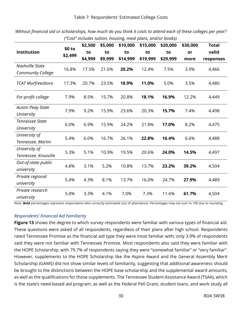| Cost mchaes tunnon, nousing, mear plans, and/or books). |         |         |         |          |          |          |          |              |
|---------------------------------------------------------|---------|---------|---------|----------|----------|----------|----------|--------------|
|                                                         | \$0 to  | \$2,500 | \$5,000 | \$10,000 | \$15,000 | \$20,000 | \$30,000 | <b>Total</b> |
| <b>Institution</b>                                      |         | to      | to      | to       | to       | to       | or       | valid        |
|                                                         | \$2,499 | \$4,999 | \$9,999 | \$14,999 | \$19,999 | \$29,999 | more     | responses    |
| Nashville State                                         | 16.8%   | 17.5%   | 21.6%   | 20.2%    | 12.4%    | 7.5%     | 3.9%     | 4,466        |
| Community College                                       |         |         |         |          |          |          |          |              |
| <b>TCAT Murfreesboro</b>                                | 17.3%   | 20.7%   | 23.5%   | 18.9%    | 11.0%    | 5.0%     | 3.5%     | 4,480        |
| For-profit college                                      | 7.9%    | 8.5%    | 15.7%   | 20.8%    | 18.1%    | 16.9%    | 12.2%    | 4,449        |
| <b>Austin Peay State</b>                                | 7.9%    | 9.2%    | 15.9%   | 23.6%    | 20.3%    | 15.7%    | 7.4%     | 4,498        |
| University                                              |         |         |         |          |          |          |          |              |
| <b>Tennessee State</b>                                  | 6.0%    | 6.9%    | 15.9%   | 24.2%    | 21.8%    | 17.0%    | 8.2%     | 4,475        |
| University                                              |         |         |         |          |          |          |          |              |
| University of                                           | 5.4%    | 6.0%    | 16.7%   | 26.1%    | 22.8%    | 16.4%    | 6.6%     | 4,488        |
| Tennessee, Martin                                       |         |         |         |          |          |          |          |              |
| University of                                           | 5.3%    | 5.1%    | 10.9%   | 19.5%    | 20.6%    | 24.0%    | 14.5%    | 4,497        |
| Tennessee, Knoxville                                    |         |         |         |          |          |          |          |              |
| Out-of-state public                                     | 4.8%    | 3.1%    | 5.2%    | 10.8%    | 13.7%    | 23.2%    | 39.2%    | 4,504        |
| university                                              |         |         |         |          |          |          |          |              |
| Private regional                                        | 5.4%    | 4.3%    | 8.1%    | 13.7%    | 16.0%    | 24.7%    | 27.9%    | 4,489        |
| university                                              |         |         |         |          |          |          |          |              |
| Private research                                        | 5.0%    | 3.3%    | 4.1%    | 7.0%     | 7.3%     | 11.6%    | 61.7%    | 4,504        |
| university                                              |         |         |         |          |          |          |          |              |

<span id="page-29-0"></span>*Without financial aid or scholarships, how much do you think it costs to attend each of these colleges per year? ("Cost" includes tuition, housing, meal plans, and/or books).*

Note: **Bold** percentages represent respondents who correctly estimated cost of attendance. Percentages may not sum to 100 due to rounding.

#### *Respondents' Financial Aid Familiarity*

**[Figure 13](#page-30-0)** shows the degree to which survey respondents were familiar with various types of financial aid. These questions were asked of all respondents, regardless of their plans after high school. Respondents rated Tennessee Promise as the financial aid type they were most familiar with; only 3.9% of respondents said they were not familiar with Tennessee Promise. Most respondents also said they were familiar with the HOPE Scholarship, with 79.7% of respondents saying they were "somewhat familiar" or "very familiar". However, supplements to the HOPE Scholarship like the Aspire Award and the General Assembly Merit Scholarship (GAMS) did not show similar levels of familiarity, suggesting that additional awareness should be brought to the distinctions between the HOPE base scholarship and the supplemental award amounts, as well as the qualifications for those supplements. The Tennessee Student Assistance Award (TSAA), which is the state's need-based aid program, as well as the Federal Pell Grant, student loans, and work study all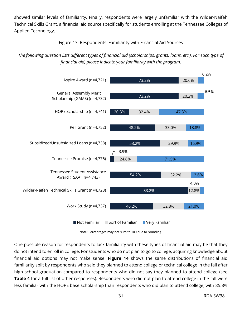showed similar levels of familiarity. Finally, respondents were largely unfamiliar with the Wilder-Naifeh Technical Skills Grant, a financial aid source specifically for students enrolling at the Tennessee Colleges of Applied Technology.

Figure 13: Respondents' Familiarity with Financial Aid Sources

#### <span id="page-30-0"></span>*The following question lists different types of financial aid (scholarships, grants, loans, etc.). For each type of financial aid, please indicate your familiarity with the program.*



Note: Percentages may not sum to 100 due to rounding.

One possible reason for respondents to lack familiarity with these types of financial aid may be that they do not intend to enroll in college. For students who do not plan to go to college, acquiring knowledge about financial aid options may not make sense. **[Figure 14](#page-32-0)** shows the same distributions of financial aid familiarity split by respondents who said they planned to attend college or technical college in the fall after high school graduation compared to respondents who did not say they planned to attend college (see **[Table 4](#page-24-0)** for a full list of other responses). Respondents who did not plan to attend college in the fall were less familiar with the HOPE base scholarship than respondents who did plan to attend college, with 85.8%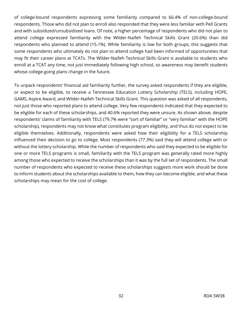of college-bound respondents expressing some familiarity compared to 66.4% of non-college-bound respondents. Those who did not plan to enroll also responded that they were less familiar with Pell Grants and with subsidized/unsubsidized loans. Of note, a higher percentage of respondents who did not plan to attend college expressed familiarity with the Wilder-Naifeh Technical Skills Grant (20.6%) than did respondents who planned to attend (15.1%). While familiarity is low for both groups, this suggests that some respondents who ultimately do not plan to attend college had been informed of opportunities that may fit their career plans at TCATs. The Wilder-Naifeh Technical Skills Grant is available to students who enroll at a TCAT any time, not just immediately following high school, so awareness may benefit students whose college-going plans change in the future.

To unpack respondents' financial aid familiarity further, the survey asked respondents if they are eligible, or expect to be eligible, to receive a Tennessee Education Lottery Scholarship (TELS), including HOPE, GAMS, Aspire Award, and Wilder-Naifeh Technical Skills Grant. This question was asked of all respondents, not just those who reported plans to attend college. Very few respondents indicated that they expected to be eligible for each of these scholarships, and 40.6% reported they were unsure. As shown above, despite respondents' claims of familiarity with TELS (79.7% were "sort of familiar" or "very familiar" with the HOPE scholarship), respondents may not know what constitutes program eligibility, and thus do not expect to be eligible themselves. Additionally, respondents were asked how their eligibility for a TELS scholarship influenced their decision to go to college. Most respondents (77.3%) said they will attend college with or without the lottery scholarship. While the number of respondents who said they expected to be eligible for one or more TELS programs is small, familiarity with the TELS program was generally rated more highly among those who expected to receive the scholarships than it was by the full set of respondents. The small number of respondents who expected to receive these scholarships suggests more work should be done to inform students about the scholarships available to them, how they can become eligible, and what these scholarships may mean for the cost of college.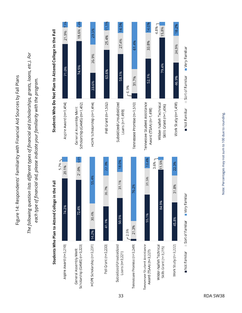<span id="page-32-0"></span>Figure 14: Respondents' Familiarity with Financial Aid Sources by Fall Plans Figure 14: Respondents' Familiarity with Financial Aid Sources by Fall Plans

*The following question lists different types of financial aid (scholarships, grants, loans, etc.). For*  The following question lists different types of financial aid (scholarships, grants, loans, etc.). For each type of financial aid, please indicate your familiarity with the program. *each type of financial aid, please indicate your familiarity with the program.*

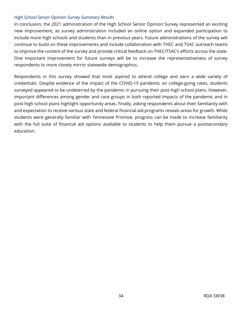#### *High School Senior Opinion Survey Summary Results*

In conclusion, the 2021 administration of the High School Senior Opinion Survey represented an exciting new improvement, as survey administration included an online option and expanded participation to include more high schools and students than in previous years. Future administrations of the survey will continue to build on these improvements and include collaboration with THEC and TSAC outreach teams to improve the content of the survey and provide critical feedback on THEC/TSAC's efforts across the state. One important improvement for future surveys will be to increase the representativeness of survey respondents to more closely mirror statewide demographics.

Respondents in this survey showed that most aspired to attend college and earn a wide variety of credentials. Despite evidence of the impact of the COVID-19 pandemic on college-going rates, students surveyed appeared to be undeterred by the pandemic in pursuing their post-high school plans. However, important differences among gender and race groups in both reported impacts of the pandemic and in post-high school plans highlight opportunity areas. Finally, asking respondents about their familiarity with and expectation to receive various state and federal financial aid programs reveals areas for growth. While students were generally familiar with Tennessee Promise, progress can be made to increase familiarity with the full suite of financial aid options available to students to help them pursue a postsecondary education.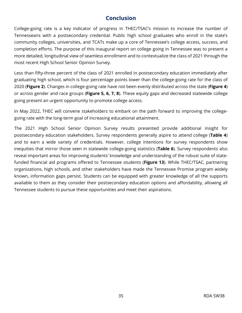#### **Conclusion**

<span id="page-34-0"></span>College-going rate is a key indicator of progress in THEC/TSAC's mission to increase the number of Tennesseans with a postsecondary credential. Public high school graduates who enroll in the state's community colleges, universities, and TCATs make up a core of Tennessee's college access, success, and completion efforts. The purpose of this inaugural report on college going in Tennessee was to present a more detailed, longitudinal view of seamless enrollment and to contextualize the class of 2021 through the most recent High School Senior Opinion Survey.

Less than fifty-three percent of the class of 2021 enrolled in postsecondary education immediately after graduating high school, which is four percentage points lower than the college-going rate for the class of 2020 (**[Figure 2](#page-11-1)**). Changes in college-going rate have not been evenly distributed across the state (**[Figure 4](#page-12-1)**) or across gender and race groups (**[Figure 5,](#page-14-0) [6,](#page-15-0) [7,](#page-16-0) [8](#page-17-0)**). These equity gaps and decreased statewide college going present an urgent opportunity to promote college access.

In May 2022, THEC will convene stakeholders to embark on the path forward to improving the collegegoing rate with the long-term goal of increasing educational attainment.

The 2021 High School Senior Opinion Survey results presented provide additional insight for postsecondary education stakeholders. Survey respondents generally aspire to attend college (**[Table 4](#page-24-0)**) and to earn a wide variety of credentials. However, college intentions for survey respondents show inequities that mirror those seen in statewide college-going statistics (**[Table 6](#page-27-0)**). Survey respondents also reveal important areas for improving students' knowledge and understanding of the robust suite of statefunded financial aid programs offered to Tennessee students (**[Figure 13](#page-30-0)**). While THEC/TSAC, partnering organizations, high schools, and other stakeholders have made the Tennessee Promise program widely known, information gaps persist. Students can be equipped with greater knowledge of all the supports available to them as they consider their postsecondary education options and affordability, allowing all Tennessee students to pursue these opportunities and meet their aspirations.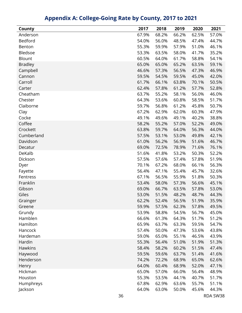<span id="page-35-0"></span>

| County         | 2017  | 2018  | 2019  | 2020  | 2021  |
|----------------|-------|-------|-------|-------|-------|
| Anderson       | 67.9% | 68.2% | 66.2% | 62.5% | 57.0% |
| Bedford        | 54.0% | 56.0% | 48.5% | 47.4% | 44.7% |
| Benton         | 55.3% | 59.9% | 57.9% | 51.0% | 46.1% |
| Bledsoe        | 53.3% | 63.5% | 58.0% | 41.7% | 35.2% |
| <b>Blount</b>  | 60.5% | 64.0% | 61.7% | 58.8% | 54.1% |
| <b>Bradley</b> | 65.0% | 65.0% | 65.2% | 63.5% | 59.1% |
| Campbell       | 46.6% | 57.3% | 56.5% | 47.3% | 46.9% |
| Cannon         | 59.5% | 54.5% | 59.5% | 45.0% | 42.0% |
| Carroll        | 61.7% | 66.1% | 63.8% | 70.1% | 50.5% |
| Carter         | 62.4% | 57.8% | 61.2% | 57.7% | 52.8% |
| Cheatham       | 63.7% | 55.2% | 58.1% | 56.0% | 46.0% |
| Chester        | 64.3% | 53.6% | 60.8% | 58.5% | 51.7% |
| Claiborne      | 59.7% | 56.8% | 61.2% | 45.8% | 50.7% |
| Clay           | 67.2% | 62.9% | 62.0% | 60.3% | 47.9% |
| Cocke          | 49.1% | 49.6% | 49.1% | 40.2% | 38.8% |
| Coffee         | 58.2% | 55.2% | 57.0% | 52.2% | 49.0% |
| Crockett       | 63.8% | 59.7% | 64.0% | 56.3% | 44.0% |
| Cumberland     | 57.5% | 53.1% | 53.0% | 49.8% | 42.1% |
| Davidson       | 61.0% | 56.2% | 56.9% | 51.6% | 46.7% |
| Decatur        | 69.0% | 72.5% | 78.9% | 71.6% | 76.1% |
| DeKalb         | 51.6% | 41.8% | 53.2% | 50.3% | 52.2% |
| Dickson        | 57.5% | 57.6% | 57.4% | 57.8% | 51.9% |
| Dyer           | 70.1% | 67.2% | 68.0% | 66.1% | 56.3% |
| Fayette        | 56.4% | 47.1% | 55.4% | 45.7% | 32.6% |
| Fentress       | 67.1% | 56.5% | 55.9% | 51.8% | 50.3% |
| Franklin       | 53.4% | 58.0% | 57.3% | 56.6% | 45.1% |
| Gibson         | 69.0% | 66.7% | 63.5% | 57.8% | 53.0% |
| Giles          | 53.0% | 51.5% | 48.2% | 48.7% | 44.3% |
| Grainger       | 62.2% | 52.4% | 56.5% | 51.9% | 35.9% |
| Greene         | 59.9% | 57.5% | 62.3% | 57.8% | 49.5% |
| Grundy         | 53.9% | 58.8% | 54.5% | 56.7% | 45.0% |
| Hamblen        | 66.6% | 61.3% | 64.3% | 51.7% | 51.2% |
| Hamilton       | 65.9% | 63.7% | 63.3% | 59.5% | 54.7% |
| Hancock        | 57.4% | 50.0% | 47.3% | 53.6% | 43.8% |
| Hardeman       | 59.0% | 65.0% | 55.1% | 46.5% | 43.9% |
| Hardin         | 55.3% | 56.4% | 51.0% | 51.9% | 51.3% |
| <b>Hawkins</b> | 58.4% | 58.2% | 60.2% | 51.5% | 47.4% |
| Haywood        | 59.5% | 59.6% | 63.7% | 51.4% | 41.6% |
| Henderson      | 74.2% | 72.2% | 68.9% | 65.0% | 62.6% |
| Henry          | 64.0% | 60.4% | 68.9% | 52.0% | 47.1% |
| Hickman        | 65.0% | 57.0% | 66.0% | 56.4% | 48.9% |
| Houston        | 55.3% | 53.5% | 44.1% | 40.7% | 51.7% |
| Humphreys      | 67.8% | 62.9% | 63.6% | 55.7% | 51.1% |
| Jackson        | 64.0% | 63.0% | 50.0% | 45.6% | 44.3% |

### **Appendix A: College-Going Rate by County, 2017 to 2021**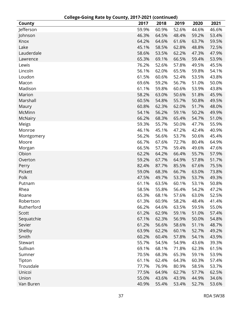|            |       | ___ <sub>_</sub> ___________ |       |       |       |
|------------|-------|------------------------------|-------|-------|-------|
| County     | 2017  | 2018                         | 2019  | 2020  | 2021  |
| Jefferson  | 59.9% | 60.9%                        | 52.6% | 44.6% | 46.6% |
| Johnson    | 46.3% | 64.5%                        | 48.4% | 59.2% | 53.4% |
| Knox       | 64.2% | 64.6%                        | 61.6% | 63.7% | 59.5% |
| Lake       | 45.1% | 58.5%                        | 62.8% | 48.8% | 72.5% |
| Lauderdale | 58.6% | 53.5%                        | 62.2% | 47.3% | 47.9% |
| Lawrence   | 65.3% | 69.1%                        | 66.5% | 59.4% | 53.9% |
| Lewis      | 76.2% | 52.6%                        | 57.8% | 49.5% | 45.5% |
| Lincoln    | 56.1% | 62.0%                        | 65.5% | 59.8% | 54.1% |
| Loudon     | 61.5% | 60.6%                        | 52.4% | 53.5% | 43.8% |
| Macon      | 69.6% | 59.2%                        | 56.7% | 51.0% | 50.0% |
| Madison    | 61.1% | 59.8%                        | 60.6% | 53.9% | 43.8% |
| Marion     | 58.2% | 63.0%                        | 50.6% | 51.8% | 45.9% |
| Marshall   | 60.5% | 54.8%                        | 55.7% | 50.8% | 49.5% |
| Maury      | 60.8% | 62.3%                        | 62.0% | 51.7% | 48.0% |
| McMinn     | 54.1% | 56.2%                        | 59.1% | 50.2% | 49.9% |
| McNairy    | 66.2% | 68.3%                        | 65.4% | 54.7% | 51.0% |
| Meigs      | 59.3% | 55.7%                        | 50.0% | 47.7% | 55.9% |
| Monroe     | 46.1% | 45.1%                        | 47.2% | 42.4% | 40.9% |
| Montgomery | 56.2% | 56.6%                        | 53.7% | 50.6% | 45.4% |
| Moore      | 66.7% | 67.6%                        | 72.7% | 80.4% | 64.9% |
| Morgan     | 66.5% | 57.7%                        | 59.4% | 49.6% | 47.6% |
| Obion      | 62.2% | 64.2%                        | 66.4% | 55.7% | 57.9% |
| Overton    | 59.2% | 67.7%                        | 64.9% | 57.8% | 51.7% |
| Perry      | 82.4% | 87.7%                        | 85.5% | 67.6% | 75.5% |
| Pickett    | 59.0% | 68.3%                        | 66.7% | 63.0% | 73.8% |
| Polk       | 47.5% | 49.7%                        | 53.3% | 53.7% | 49.3% |
| Putnam     | 61.1% | 63.5%                        | 60.1% | 53.1% | 50.8% |
| Rhea       | 58.5% | 55.8%                        | 56.4% | 54.2% | 47.2% |
| Roane      | 65.3% | 68.1%                        | 57.6% | 63.0% | 52.5% |
| Robertson  | 61.3% | 60.9%                        | 58.2% | 48.4% | 41.4% |
| Rutherford | 66.2% | 64.6%                        | 63.5% | 59.5% | 55.0% |
| Scott      | 61.2% | 62.9%                        | 59.1% | 51.0% | 57.4% |
| Sequatchie | 67.1% | 62.3%                        | 56.9% | 50.0% | 54.8% |
| Sevier     | 61.2% | 56.6%                        | 58.6% | 51.1% | 48.7% |
| Shelby     | 63.9% | 62.2%                        | 60.1% | 52.7% | 49.2% |
| Smith      | 60.2% | 60.4%                        | 57.8% | 54.1% | 43.9% |
| Stewart    | 55.7% | 54.5%                        | 54.9% | 43.6% | 39.3% |
| Sullivan   | 69.1% | 68.1%                        | 71.8% | 62.3% | 61.5% |
| Sumner     | 70.5% | 68.3%                        | 65.3% | 59.1% | 53.9% |
| Tipton     | 61.1% | 62.4%                        | 64.3% | 60.3% | 57.4% |
| Trousdale  | 77.7% | 76.9%                        | 80.9% | 58.5% | 53.7% |
| Unicoi     | 77.5% | 64.9%                        | 62.7% | 57.7% | 62.5% |
| Union      | 55.0% | 43.6%                        | 43.9% | 44.9% | 34.6% |
| Van Buren  | 40.9% | 55.4%                        | 53.4% | 52.7% | 53.6% |
|            |       |                              |       |       |       |

#### **College-Going Rate by County, 2017-2021 (continued)**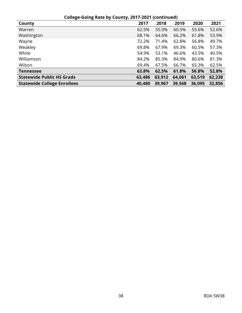| College-Going Rate by County, 2017-2021 (continued) |        |        |        |        |        |  |
|-----------------------------------------------------|--------|--------|--------|--------|--------|--|
| County                                              | 2017   | 2018   | 2019   | 2020   | 2021   |  |
| Warren                                              | 62.5%  | 55.0%  | 60.5%  | 55.6%  | 52.6%  |  |
| Washington                                          | 68.1%  | 64.6%  | 66.2%  | 61.8%  | 53.9%  |  |
| Wayne                                               | 72.2%  | 71.4%  | 62.8%  | 56.8%  | 49.7%  |  |
| Weakley                                             | 69.8%  | 67.9%  | 69.3%  | 60.5%  | 57.3%  |  |
| White                                               | 54.9%  | 53.1%  | 46.6%  | 43.5%  | 40.5%  |  |
| Williamson                                          | 84.2%  | 85.3%  | 84.9%  | 80.6%  | 81.3%  |  |
| Wilson                                              | 69.4%  | 67.5%  | 66.7%  | 65.3%  | 62.5%  |  |
| <b>Tennessee</b>                                    | 63.8%  | 62.5%  | 61.8%  | 56.8%  | 52.8%  |  |
| <b>Statewide Public HS Grads</b>                    | 63,486 | 63,912 | 64,061 | 63,519 | 62,238 |  |
| <b>Statewide College Enrollees</b>                  | 40,480 | 39,967 | 39,568 | 36,095 | 32,856 |  |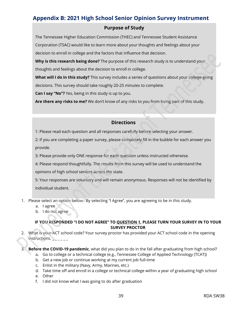#### <span id="page-38-0"></span>**Appendix B: 2021 High School Senior Opinion Survey Instrument**

#### **Purpose of Study**

The Tennessee Higher Education Commission (THEC) and Tennessee Student Assistance Corporation (TSAC) would like to learn more about your thoughts and feelings about your decision to enroll in college and the factors that influence that decision.

**Why is this research being done?** The purpose of this research study is to understand your thoughts and feelings about the decision to enroll in college.

**What will I do in this study?** This survey includes a series of questions about your college-going decisions. This survey should take roughly 20-25 minutes to complete.

**Can I say "No"?** Yes, being in this study is up to you.

**Are there any risks to me?** We don't know of any risks to you from being part of this study.

#### **Directions**

1: Please read each question and all responses carefully before selecting your answer.

2: If you are completing a paper survey, please completely fill in the bubble for each answer you provide.

3: Please provide only ONE response for each question unless instructed otherwise.

4: Please respond thoughtfully. The results from this survey will be used to understand the

opinions of high school seniors across the state.

5: Your responses are voluntary and will remain anonymous. Responses will not be identified by individual student.

- 1. Please select an option below. By selecting "I Agree", you are agreeing to be in this study.
	- a. I agree
	- b. I do not agree

#### **IF YOU RESPONDED "I DO NOT AGREE" TO QUESTION 1, PLEASE TURN YOUR SURVEY IN TO YOUR SURVEY PROCTOR**

- 2. What is your ACT school code? Your survey proctor has provided your ACT school code in the opening instructions.
- 3. **Before the COVID-19 pandemic**, what did you plan to do in the fall after graduating from high school?
	- a. Go to college or a technical college (e.g., Tennessee College of Applied Technology (TCAT))
	- b. Get a new job or continue working at my current job full-time
	- c. Enlist in the military (Navy, Army, Marines, etc.)
	- d. Take time off and enroll in a college or technical college within a year of graduating high school
	- e. Other
	- f. I did not know what I was going to do after graduation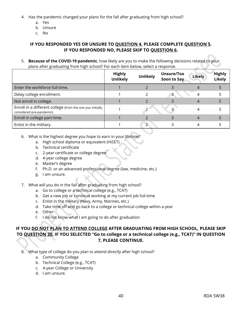- 4. Has the pandemic changed your plans for the fall after graduating from high school?
	- a. Yes
	- b. Unsure
	- c. No

#### **IF YOU RESPONDED YES OR UNSURE TO QUESTION 4, PLEASE COMPLETE QUESTION 5. IF YOU RESPONDED NO, PLEASE SKIP TO QUESTION 6.**

5. **Because of the COVID-19 pandemic**, how likely are you to make the following decisions related to your plans after graduating from high school? For each item below, select a response.

|                                                                                        | <b>Highly</b><br><b>Unlikely</b> | <b>Unlikely</b> | Unsure/Too<br>Soon to Say | <b>Likely</b> | <b>Highly</b><br><b>Likely</b> |
|----------------------------------------------------------------------------------------|----------------------------------|-----------------|---------------------------|---------------|--------------------------------|
| Enter the workforce full-time.                                                         |                                  |                 |                           |               |                                |
| Delay college enrollment.                                                              |                                  |                 | 3                         |               |                                |
| Not enroll in college.                                                                 |                                  |                 |                           |               |                                |
| Enroll in a different college (from the one you initially<br>considered pre-pandemic). |                                  |                 |                           |               |                                |
| Enroll in college part-time.                                                           |                                  |                 |                           |               |                                |
| Enlist in the military.                                                                |                                  |                 |                           |               |                                |

- 6. What is the highest degree you hope to earn in your lifetime?
	- a. High school diploma or equivalent (HiSET)
	- b. Technical certificate
	- c. 2-year certificate or college degree
	- d. 4-year college degree
	- e. Master's degree
	- f. Ph.D. or an advanced professional degree (law, medicine, etc.)
	- g. I am unsure.
- 7. What will you do in the fall after graduating from high school?
	- a. Go to college or a technical college (e.g., TCAT)
	- b. Get a new job or continue working at my current job full-time
	- c. Enlist in the military (Navy, Army, Marines, etc.)
	- d. Take time off and go back to a college or technical college within a year
	- e. Other
	- f. I do not know what I am going to do after graduation

#### **IF YOU DO NOT PLAN TO ATTEND COLLEGE AFTER GRADUATING FROM HIGH SCHOOL, PLEASE SKIP TO QUESTION 20. IF YOU SELECTED "Go to college or a technical college (e.g., TCAT)" IN QUESTION 7, PLEASE CONTINUE.**

- 8. What type of college do you plan to attend directly after high school?
	- a. Community College
	- b. Technical College (e.g., TCAT)
	- c. 4-year College or University
	- d. I am unsure.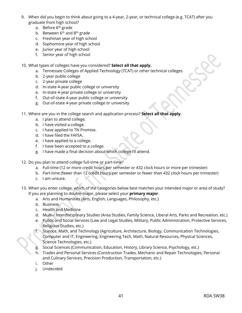- 9. When did you begin to think about going to a 4-year, 2-year, or technical college (e.g. TCAT) after you graduate from high school?
	- a. Before 6<sup>th</sup> grade
	- b. Between  $6<sup>th</sup>$  and  $8<sup>th</sup>$  grade
	- c. Freshman year of high school
	- d. Sophomore year of high school
	- e. Junior year of high school
	- f. Senior year of high school
- 10. What types of colleges have you considered? **Select all that apply.**
	- a. Tennessee Colleges of Applied Technology (TCAT) or other technical colleges
	- b. 2-year public college
	- c. 2-year private college
	- d. In-state 4-year public college or university
	- e. In-state 4-year private college or university
	- f. Out-of-state 4-year public college or university
	- g. Out-of-state 4-year private college or university
- 11. Where are you in the college search and application process? **Select all that apply.**
	- a. I plan to attend college.
	- b. I have visited a college.
	- c. I have applied to TN Promise.
	- d. I have filed the FAFSA.
	- e. I have applied to a college.
	- f. I have been accepted to a college.
	- g. I have made a final decision about which college I'll attend.
- 12. Do you plan to attend college full-time or part-time?
	- a. Full-time (12 or more credit hours per semester or 432 clock hours or more per trimester)
	- b. Part-time (fewer than 12 credit hours per semester or fewer than 432 clock hours per trimester)
	- c. I am unsure.
- 13. When you enter college, which of the categories below best matches your intended major or area of study? If you are planning to double major, please select your **primary major**.
	- a. Arts and Humanities (Arts, English, Languages, Philosophy, etc.)
	- b. Business
	- c. Health and Medicine
	- d. Multi-/ Interdisciplinary Studies (Area Studies, Family Science, Liberal Arts, Parks and Recreation, etc.)
	- e. Public and Social Services (Law and Legal Studies, Military, Public Administration, Protective Services, Religious Studies, etc.)
	- f. Science, Math, and Technology (Agriculture, Architecture, Biology, Communication Technologies, Computer and IT, Engineering, Engineering Tech, Math, Natural Resources, Physical Sciences, Science Technologies, etc.)
	- g. Social Sciences (Communication, Education, History, Library Science, Psychology, etc.)
	- h. Trades and Personal Services (Construction Trades, Mechanic and Repair Technologies, Personal and Culinary Services, Precision Production, Transportation, etc.)
	- i. Other
	- j. Undecided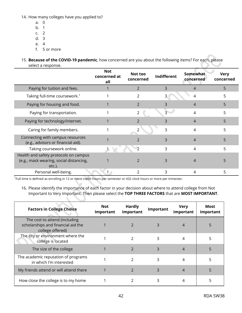14. How many colleges have you applied to?

- a. 0
- b. 1
- c. 2
- d. 3
- e. 4
- f. 5 or more
- 15. **Because of the COVID-19 pandemic**, how concerned are you about the following items? For each, please select a response.

|                                                                                               | <b>Not</b><br>concerned at<br>all | Not too<br>concerned     | Indifferent | Somewhat<br>concerned | <b>Very</b><br>concerned |
|-----------------------------------------------------------------------------------------------|-----------------------------------|--------------------------|-------------|-----------------------|--------------------------|
| Paying for tuition and fees.                                                                  |                                   | $\overline{2}$           | 3           | 4                     | 5                        |
| Taking full-time coursework. <sup>1</sup>                                                     |                                   | 2                        |             | 4                     | 5                        |
| Paying for housing and food.                                                                  |                                   | $\overline{2}$           | ς           | 4                     | 5                        |
| Paying for transportation.                                                                    |                                   | $\overline{2}$           | 3           | 4                     | 5                        |
| Paying for technology/internet.                                                               |                                   | $\mathcal{P}$            | 3           | 4                     | 5                        |
| Caring for family members.                                                                    |                                   | $\mathfrak{D}$           | 3           | 4                     | 5                        |
| Connecting with campus resources<br>(e.g., advisors or financial aid).                        |                                   | $\overline{\phantom{0}}$ | 3           | 4                     | 5                        |
| Taking coursework online.                                                                     |                                   | $\mathcal{P}$            | 3           | 4                     | 5                        |
| Health and safety protocols on campus<br>(e.g., mask wearing, social distancing,<br>$etc.$ ). |                                   | $\mathcal{P}$            |             | $\overline{4}$        |                          |
| Personal well-being.                                                                          |                                   | $\mathcal{P}$            | 3           | 4                     | 5                        |

<sup>1</sup>Full time is defined as enrolling in 12 or more credit hours per semester or 432 clock hours or more per trimester.

16. Please identify the importance of each factor in your decision about where to attend college from Not Important to Very Important. Then please select the **TOP THREE FACTORS** that are **MOST IMPORTANT**.

| <b>Factors in College Choice</b>                                                        | Not<br>Important | <b>Hardly</b><br>Important | Important | <b>Very</b><br>Important | Most<br>Important |
|-----------------------------------------------------------------------------------------|------------------|----------------------------|-----------|--------------------------|-------------------|
| The cost to attend (including<br>scholarships and financial aid the<br>college offered) |                  |                            | 3         | 4                        |                   |
| The city or environment where the<br>college is located                                 |                  | $\mathcal{P}$              | 3         | 4                        |                   |
| The size of the college                                                                 |                  |                            | 3         | 4                        |                   |
| The academic reputation of programs<br>in which I'm interested                          |                  | $\mathcal{P}$              | 3         | 4                        | 5                 |
| My friends attend or will attend there                                                  |                  | $\mathcal{P}$              | 3         | $\overline{4}$           |                   |
| How close the college is to my home                                                     |                  |                            |           |                          |                   |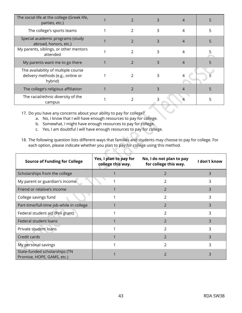| The social life at the college (Greek life,<br>parties, etc.)                       |                |   |   |   |
|-------------------------------------------------------------------------------------|----------------|---|---|---|
| The college's sports teams                                                          | 2              | 3 | 4 | 5 |
| Special academic programs (study<br>abroad, honors, etc.)                           | $\mathfrak{D}$ |   |   |   |
| My parents, siblings, or other mentors<br>attended                                  | $\mathcal{P}$  | 3 | 4 |   |
| My parents want me to go there                                                      | 2              |   |   |   |
| The availability of multiple course<br>delivery methods (e.g., online or<br>hybrid) | $\mathcal{P}$  |   | 4 |   |
| The college's religious affiliation                                                 |                |   |   |   |
| The racial/ethnic diversity of the<br>campus                                        |                |   |   |   |

17. Do you have any concerns about your ability to pay for college?

- a. No, I know that I will have enough resources to pay for college.
- b. Somewhat, I might have enough resources to pay for college.
- c. Yes, I am doubtful I will have enough resources to pay for college.
- 18. The following question lists different ways that families and students may choose to pay for college. For each option, please indicate whether you plan to pay for college using this method.

 $\mathcal{L}$ 

 $\sim$  K  $\sim$  K

| <b>Source of Funding for College</b>                        | Yes, I plan to pay for<br>college this way. | No, I do not plan to pay<br>for college this way. | I don't know |
|-------------------------------------------------------------|---------------------------------------------|---------------------------------------------------|--------------|
| Scholarships from the college                               |                                             | 2                                                 | 3            |
| My parent or guardian's income                              |                                             |                                                   | 3            |
| Friend or relative's income                                 |                                             | 2                                                 | 3            |
| College savings fund                                        |                                             | 2                                                 | 3            |
| Part-time/full-time job while in college                    |                                             | $\mathcal{P}$                                     | 3            |
| Federal student aid (Pell grant)                            |                                             | 2                                                 | 3            |
| Federal student loans                                       |                                             | $\mathcal{P}$                                     | 3            |
| Private student loans                                       |                                             | $\mathcal{P}$                                     | 3            |
| Credit cards                                                |                                             | 2                                                 | 3            |
| My personal savings                                         |                                             | 2                                                 | 3            |
| State-funded scholarships (TN<br>Promise, HOPE, GAMS, etc.) |                                             | 2                                                 | 3            |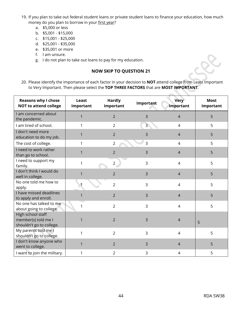- 19. If you plan to take out federal student loans or private student loans to finance your education, how much money do you plan to borrow in your first year?
	- a. \$5,000 or less
	- b. \$5,001 \$15,000
	- c. \$15,001 \$25,000
	- d. \$25,001 \$35,000
	- e. \$35,001 or more
	- f. I am unsure.
	- g. I do not plan to take out loans to pay for my education.

#### **NOW SKIP TO QUESTION 21**



20. Please identify the importance of each factor in your decision to **NOT** attend college from Least Important to Very Important. Then please select the **TOP THREE FACTORS** that are **MOST IMPORTANT**.

| <b>Reasons why I chose</b><br><b>NOT to attend college</b>           | Least<br>Important | <b>Hardly</b><br>Important | Important      | Very<br>Important | <b>Most</b><br>Important |
|----------------------------------------------------------------------|--------------------|----------------------------|----------------|-------------------|--------------------------|
| I am concerned about<br>the pandemic.                                | $\mathbf{1}$       | $\overline{2}$             | 3              | $\overline{4}$    | 5                        |
| I am tired of school.                                                | 1                  | $\overline{2}$             | $\overline{3}$ | $\overline{4}$    | 5                        |
| I don't need more<br>education to do my job.                         | 1                  | $\overline{2}$             | 3              | $\overline{4}$    | 5                        |
| The cost of college.                                                 | 1                  | 2                          | 3              | 4                 | 5                        |
| I need to work rather<br>than go to school.                          | 1                  | $\overline{2}$             | 3              | $\overline{4}$    | 5                        |
| I need to support my<br>family.                                      | $\mathbf{1}$       | $\overline{2}$             | 3              | $\overline{4}$    | 5                        |
| I don't think I would do<br>well in college.                         | $\mathbf{1}$       | $\overline{2}$             | 3              | $\overline{4}$    | 5                        |
| No one told me how to<br>apply.                                      |                    | $\overline{2}$             | 3              | $\overline{4}$    | 5                        |
| I have missed deadlines<br>to apply and enroll.                      | 1                  | $\overline{2}$             | 3              | $\overline{4}$    | 5                        |
| No one has talked to me<br>about going to college.                   | $\mathbf{1}$       | $\overline{2}$             | 3              | $\overline{4}$    | 5                        |
| High school staff<br>member(s) told me I<br>shouldn't go to college. | 1                  | $\overline{2}$             | 3              | $\overline{4}$    | 5                        |
| My parents told me I<br>shouldn't go to college.                     | $\mathbf{1}$       | $\overline{2}$             | 3              | $\overline{4}$    | 5                        |
| I don't know anyone who<br>went to college.                          | $\mathbf{1}$       | $\overline{2}$             | 3              | $\overline{4}$    | 5                        |
| I want to join the military.                                         | 1                  | 2                          | 3              | 4                 | 5                        |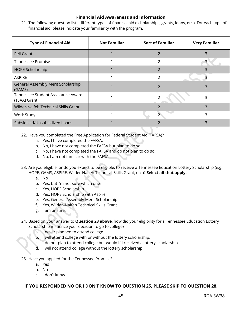#### **Financial Aid Awareness and Information**

21. The following question lists different types of financial aid (scholarships, grants, loans, etc.). For each type of financial aid, please indicate your familiarity with the program.

| <b>Type of Financial Aid</b>                       | <b>Not Familiar</b> | <b>Sort of Familiar</b> | <b>Very Familiar</b> |
|----------------------------------------------------|---------------------|-------------------------|----------------------|
| Pell Grant                                         |                     | $\overline{2}$          | 3                    |
| <b>Tennessee Promise</b>                           |                     | $\mathcal{P}$           |                      |
| HOPE Scholarship                                   |                     | $\mathcal{P}$           |                      |
| <b>ASPIRE</b>                                      |                     | 2                       |                      |
| General Assembly Merit Scholarship<br>(GAMS)       |                     | $\overline{2}$          | 3                    |
| Tennessee Student Assistance Award<br>(TSAA) Grant |                     |                         | 3                    |
| Wilder-Naifeh Technical Skills Grant               |                     | 2                       | 3                    |
| Work Study                                         |                     | $\mathcal{P}$           | 3                    |
| Subsidized/Unsubsidized Loans                      |                     |                         | 3                    |

- 22. Have you completed the Free Application for Federal Student Aid (FAFSA)?
	- a. Yes, I have completed the FAFSA.
	- b. No, I have not completed the FAFSA but plan to do so.
	- c. No, I have not completed the FAFSA and do not plan to do so.
	- d. No, I am not familiar with the FAFSA.
- 23. Are you eligible, or do you expect to be eligible, to receive a Tennessee Education Lottery Scholarship (e.g., HOPE, GAMS, ASPIRE, Wilder-Naifeh Technical Skills Grant, etc.)? **Select all that apply.**
	- a. No
	- b. Yes, but I'm not sure which one
	- c. Yes, HOPE Scholarship
	- d. Yes, HOPE Scholarship with Aspire
	- e. Yes, General Assembly Merit Scholarship
	- f. Yes, Wilder–Naifeh Technical Skills Grant
	- g. I am unsure.
- 24. Based on your answer to **Question 23 above**, how did your eligibility for a Tennessee Education Lottery Scholarship influence your decision to go to college?
	- a. I never planned to attend college.
	- b. I will attend college with or without the lottery scholarship.
	- c. I do not plan to attend college but would if I received a lottery scholarship.
	- d. I will not attend college without the lottery scholarship.
- 25. Have you applied for the Tennessee Promise?
	- a. Yes
	- b. No
	- c. I don't know

#### **IF YOU RESPONDED NO OR I DON'T KNOW TO QUESTION 25, PLEASE SKIP TO QUESTION 28.**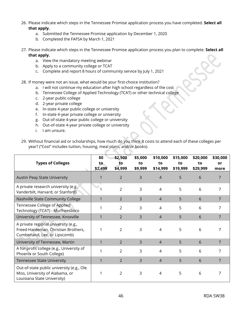- 26. Please indicate which steps in the Tennessee Promise application process you have completed. **Select all that apply.** 
	- a. Submitted the Tennessee Promise application by December 1, 2020
	- b. Completed the FAFSA by March 1, 2021
- 27. Please indicate which steps in the Tennessee Promise application process you plan to complete. **Select all that apply.**
	- a. View the mandatory meeting webinar
	- b. Apply to a community college or TCAT
	- c. Complete and report 8 hours of community service by July 1, 2021

28. If money were not an issue, what would be your first-choice institution?

- a. I will not continue my education after high school regardless of the cost
- b. Tennessee College of Applied Technology (TCAT) or other technical college
- c. 2-year public college
- d. 2-year private college
- e. In-state 4-year public college or university
- f. In-state 4-year private college or university
- g. Out-of-state 4-year public college or university
- h. Out-of-state 4-year private college or university
- i. I am unsure.

| <b>Types of Colleges</b>                                                                                     | \$0<br>to.<br>\$2,499 | \$2,500<br>to<br>\$4,999 | \$5,000<br>to<br>\$9,999 | \$10,000<br>to<br>\$14,999 | \$15,000<br>to<br>\$19,999 | \$20,000<br>to<br>\$29,999 | \$30,000<br>or<br>more |
|--------------------------------------------------------------------------------------------------------------|-----------------------|--------------------------|--------------------------|----------------------------|----------------------------|----------------------------|------------------------|
| <b>Austin Peay State University</b>                                                                          |                       | $\overline{2}$           | 3                        | $\overline{\mathcal{L}}$   | 5                          | 6                          | 7                      |
| A private research university (e.g.,<br>Vanderbilt, Harvard, or Stanford)                                    |                       | $\mathfrak{D}$           | 3                        | 4                          | 5                          | 6                          | 7                      |
| Nashville State Community College                                                                            | 1                     | 2                        | 3                        | $\overline{4}$             | 5                          | 6                          | 7                      |
| Tennessee College of Applied<br>Technology (TCAT) - Murfreesboro                                             |                       | 2                        | 3                        | 4                          | 5                          | 6                          |                        |
| University of Tennessee, Knoxville                                                                           |                       | $\mathcal{P}$            | 3                        | $\overline{4}$             | 5                          | 6                          |                        |
| A private regional university (e.g.,<br>Freed-Hardeman, Christian Brothers,<br>Cumberland, Lee, or Lipscomb) |                       | $\mathcal{P}$            | 3                        | 4                          | 5                          | 6                          |                        |
| University of Tennessee, Martin                                                                              |                       | $\mathcal{P}$            | 3                        | $\overline{4}$             | 5                          | 6                          | 7                      |
| A for-profit college (e.g., University of<br>Phoenix or South College)                                       |                       | $\mathcal{P}$            | 3                        | 4                          | 5                          | 6                          | 7                      |
| <b>Tennessee State University</b>                                                                            |                       | $\mathcal{P}$            | 3                        | $\overline{4}$             | 5                          | 6                          |                        |
| Out-of-state public university (e.g., Ole<br>Miss, University of Alabama, or<br>Louisiana State University)  |                       | 2                        | 3                        | 4                          | 5                          | 6                          |                        |

29. Without financial aid or scholarships, how much do you think it costs to attend each of these colleges per year? ("Cost" includes tuition, housing, meal plans, and/or books).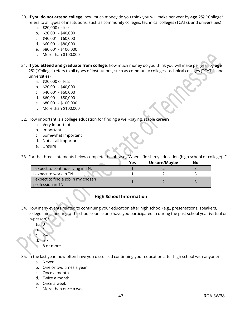- 30. **If you do not attend college**, how much money do you think you will make per year by **age 25**? ("College" refers to all types of institutions, such as community colleges, technical colleges (TCATs), and universities)
	- a. \$20,000 or less
	- b. \$20,001 \$40,000
	- c. \$40,001 \$60,000
	- d. \$60,001 \$80,000
	- e. \$80,001 \$100,000
	- f. More than \$100,000
- 31. **If you attend and graduate from college**, how much money do you think you will make per year by **age 25**? ("College" refers to all types of institutions, such as community colleges, technical colleges (TCATs), and universities)
	- a. \$20,000 or less
	- b. \$20,001 \$40,000
	- c. \$40,001 \$60,000
	- d. \$60,001 \$80,000
	- e. \$80,001 \$100,000
	- f. More than \$100,000

32. How important is a college education for finding a well-paying, stable career?

- a. Very Important
- b. Important
- c. Somewhat Important
- d. Not at all important
- e. Unsure

33. For the three statements below complete the phrase, "When I finish my education (high school or college)…"

|                                     | Yes | Unsure/Maybe | No |  |
|-------------------------------------|-----|--------------|----|--|
| I expect to continue living in TN.  |     |              |    |  |
| I expect to work in TN.             |     |              |    |  |
| I expect to find a job in my chosen |     |              |    |  |
| profession in TN.                   |     |              |    |  |

#### **High School Information**

- 34. How many events related to continuing your education after high school (e.g., presentations, speakers, college fairs, meeting with school counselors) have you participated in during the past school year (virtual or in-person)?
	- $a \cdot 0$
	- b. 1
	- $2 4$
	- d. 5-7
	- e. 8 or more

35. In the last year, how often have you discussed continuing your education after high school with anyone?

- a. Never
- b. One or two times a year
- c. Once a month
- d. Twice a month
- e. Once a week
- f. More than once a week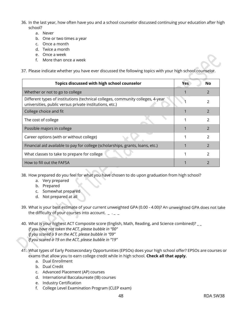- 36. In the last year, how often have you and a school counselor discussed continuing your education after high school?
	- a. Never
	- b. One or two times a year
	- c. Once a month
	- d. Twice a month
	- e. Once a week
	- f. More than once a week

37. Please indicate whether you have ever discussed the following topics with your high school counselor.

| Topics discussed with high school counselor                                                                                                | Yes | No            |
|--------------------------------------------------------------------------------------------------------------------------------------------|-----|---------------|
| Whether or not to go to college                                                                                                            |     |               |
| Different types of institutions (technical colleges, community colleges, 4-year<br>universities, public versus private institutions, etc.) |     | $\mathcal{P}$ |
| College choice and fit                                                                                                                     |     |               |
| The cost of college                                                                                                                        |     | $\mathcal{P}$ |
| Possible majors in college                                                                                                                 |     | $\mathcal{L}$ |
| Career options (with or without college)                                                                                                   |     | っ             |
| Financial aid available to pay for college (scholarships, grants, loans, etc.)                                                             |     | $\mathcal{P}$ |
| What classes to take to prepare for college                                                                                                |     | $\mathcal{P}$ |
| How to fill out the FAFSA                                                                                                                  |     | $\mathcal{P}$ |

38. How prepared do you feel for what you have chosen to do upon graduation from high school?

- a. Very prepared
- b. Prepared
- c. Somewhat prepared
- d. Not prepared at all
- 39. What is your best estimate of your current unweighted GPA (0.00 4.00)? An unweighted GPA does not take the difficulty of your courses into account.  $_ - -$
- 40. What is your highest ACT Composite score (English, Math, Reading, and Science combined)? \_ \_ *If you have not taken the ACT, please bubble in "00" If you scored a 9 on the ACT, please bubble in "09" If you scored a 19 on the ACT, please bubble in "19"*
- 41. What types of Early Postsecondary Opportunities (EPSOs) does your high school offer? EPSOs are courses or exams that allow you to earn college credit while in high school. **Check all that apply.**
	- a. Dual Enrollment
	- b. Dual Credit
	- c. Advanced Placement (AP) courses
	- d. International Baccalaureate (IB) courses
	- e. Industry Certification
	- f. College Level Examination Program (CLEP exam)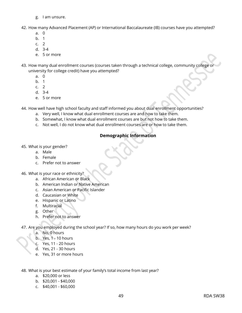- g. I am unsure.
- 42. How many Advanced Placement (AP) or International Baccalaureate (IB) courses have you attempted?
	- a. 0
	- b. 1
	- c. 2
	- d. 3-4
	- e. 5 or more
- 43. How many dual enrollment courses (courses taken through a technical college, community college or university for college credit) have you attempted?
	- a. 0
	- b. 1
	- $c<sub>2</sub>$
	- d. 3-4
	- e. 5 or more

44. How well have high school faculty and staff informed you about dual enrollment opportunities?

- a. Very well, I know what dual enrollment courses are and how to take them.
- b. Somewhat, I know what dual enrollment courses are but not how to take them.
- c. Not well, I do not know what dual enrollment courses are or how to take them.

#### **Demographic Information**

- 45. What is your gender?
	- a. Male
	- b. Female
	- c. Prefer not to answer
- 46. What is your race or ethnicity?
	- a. African American or Black
	- b. American Indian or Native American
	- c. Asian American or Pacific Islander
	- d. Caucasian or White
	- e. Hispanic or Latino
	- f. Multiracial
	- g. Other
	- h. Prefer not to answer
- 47. Are you employed during the school year? If so, how many hours do you work per week?
	- a. No, 0 hours
	- b. Yes, 1 10 hours
	- c. Yes, 11 20 hours
	- d. Yes, 21 30 hours
	- e. Yes, 31 or more hours
- 48. What is your best estimate of your family's total income from last year?
	- a. \$20,000 or less
	- b. \$20,001 \$40,000
	- c. \$40,001 \$60,000